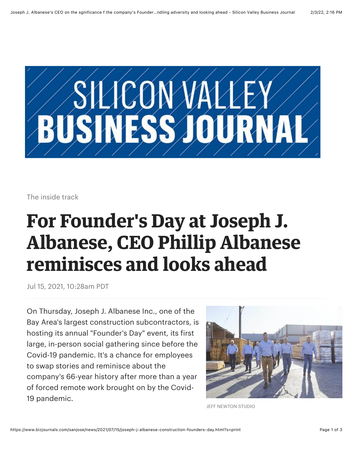

The inside track

# **For Founder's Day at Joseph J. Albanese, CEO Phillip Albanese reminisces and looks ahead**

Jul 15, 2021, 10:28am PDT

On Thursday, Joseph J. Albanese Inc., one of the Bay Area's largest construction subcontractors, is hosting its annual "Founder's Day" event, its first large, in-person social gathering since before the Covid-19 pandemic. It's a chance for employees to swap stories and reminisce about the company's 66-year history after more than a year of forced remote work brought on by the Covid-19 pandemic.



JEFF NEWTON STUDIO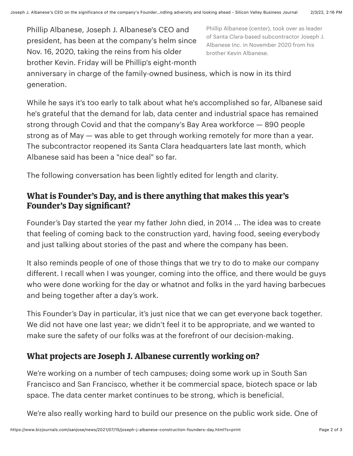[Phillip Albanese](https://www.bizjournals.com/sanjose/search/results?q=Phillip%20Albanese), Joseph J. Albanese's CEO and president, has been at the company's helm since Nov. 16, 2020, taking the reins from his older brother Kevin. Friday will be Phillip's eight-month Phillip Albanese (center), took over as leader of Santa Clara-based subcontractor Joseph J. Albanese Inc. in November 2020 from his brother Kevin Albanese.

anniversary in charge of the family-owned business, which is now in its third generation.

While he says it's too early to talk about what he's accomplished so far, Albanese said he's grateful that the demand for lab, data center and industrial space has remained strong through Covid and that the company's Bay Area workforce — 890 people strong as of May — was able to get through working remotely for more than a year. The subcontractor reopened its Santa Clara headquarters late last month, which Albanese said has been a "nice deal" so far.

The following conversation has been lightly edited for length and clarity.

## **What is Founder's Day, and is there anything that makes this year's Founder's Day significant?**

Founder's Day started the year my father John died, in 2014 ... The idea was to create that feeling of coming back to the construction yard, having food, seeing everybody and just talking about stories of the past and where the company has been.

It also reminds people of one of those things that we try to do to make our company different. I recall when I was younger, coming into the office, and there would be guys who were done working for the day or whatnot and folks in the yard having barbecues and being together after a day's work.

This Founder's Day in particular, it's just nice that we can get everyone back together. We did not have one last year; we didn't feel it to be appropriate, and we wanted to make sure the safety of our folks was at the forefront of our decision-making.

# **What projects are Joseph J. Albanese currently working on?**

We're working on a number of tech campuses; doing some work up in South San Francisco and San Francisco, whether it be commercial space, biotech space or lab space. The data center market continues to be strong, which is beneficial.

We're also really working hard to build our presence on the public work side. One of